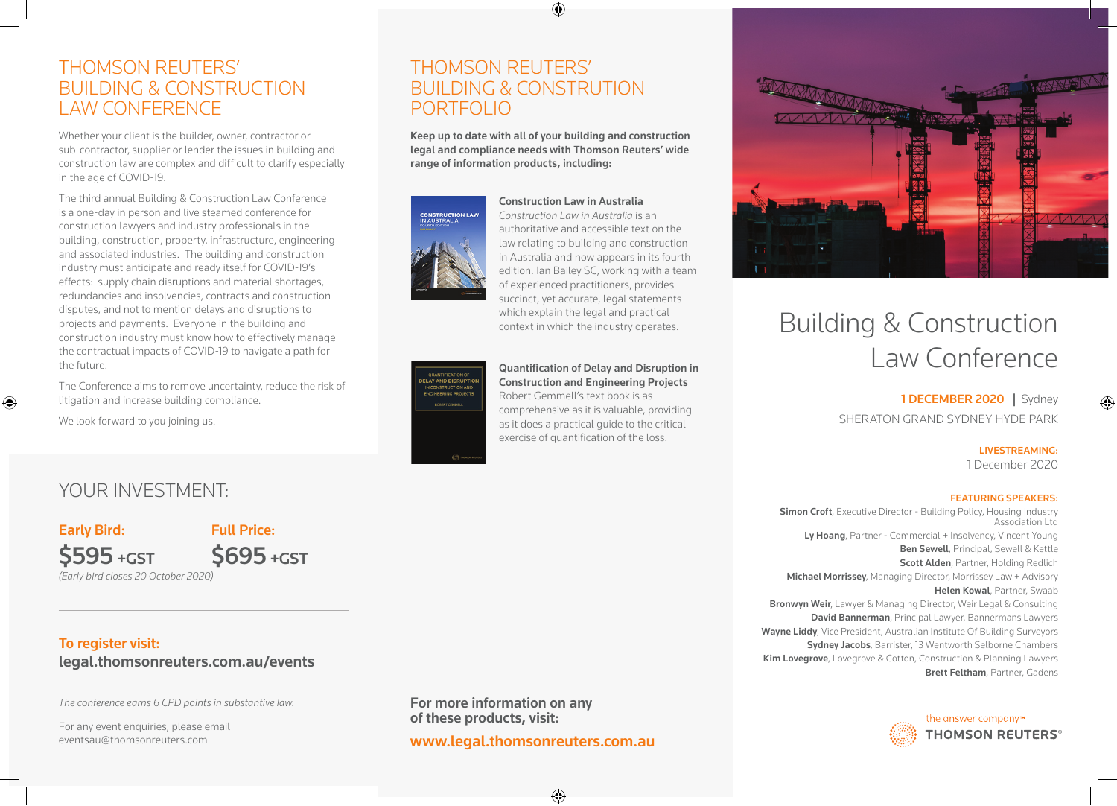## THOMSON REUTERS' BUILDING & CONSTRUCTION LAW CONFERENCE

Whether your client is the builder, owner, contractor or sub-contractor, supplier or lender the issues in building and construction law are complex and difficult to clarify especially in the age of COVID-19.

The third annual Building & Construction Law Conference is a one-day in person and live steamed conference for construction lawyers and industry professionals in the building, construction, property, infrastructure, engineering and associated industries. The building and construction industry must anticipate and ready itself for COVID-19's effects: supply chain disruptions and material shortages, redundancies and insolvencies, contracts and construction disputes, and not to mention delays and disruptions to projects and payments. Everyone in the building and construction industry must know how to effectively manage the contractual impacts of COVID-19 to navigate a path for the future.

The Conference aims to remove uncertainty, reduce the risk of litigation and increase building compliance.

We look forward to you joining us.

⊕

## THOMSON REUTERS' BUILDING & CONSTRUTION PORTFOLIO

Keep up to date with all of your building and construction legal and compliance needs with Thomson Reuters' wide range of information products, including:

♠



Construction Law in Australia *Construction Law in Australia* is an authoritative and accessible text on the law relating to building and construction in Australia and now appears in its fourth edition. Ian Bailey SC, working with a team of experienced practitioners, provides succinct, yet accurate, legal statements which explain the legal and practical context in which the industry operates.

### Quantification of Delay and Disruption in Construction and Engineering Projects Robert Gemmell's text book is as comprehensive as it is valuable, providing as it does a practical guide to the critical

exercise of quantification of the loss.



# Building & Construction Law Conference

1 DECEMBER 2020 | Sydney SHERATON GRAND SYDNEY HYDE PARK

LIVESTREAMING:

1 December 2020

#### FEATURING SPEAKERS:

**Simon Croft**, Executive Director - Building Policy, Housing Industry Association Ltd Ly Hoang, Partner - Commercial + Insolvency, Vincent Young Ben Sewell, Principal, Sewell & Kettle Scott Alden, Partner, Holding Redlich Michael Morrissey, Managing Director, Morrissey Law + Advisory Helen Kowal, Partner, Swaab Bronwyn Weir, Lawyer & Managing Director, Weir Legal & Consulting David Bannerman, Principal Lawyer, Bannermans Lawyers Wayne Liddy, Vice President, Australian Institute Of Building Surveyors Sydney Jacobs, Barrister, 13 Wentworth Selborne Chambers Kim Lovegrove, Lovegrove & Cotton, Construction & Planning Lawyers Brett Feltham, Partner, Gadens



YOUR INVESTMENT:

*(Early bird closes 20 October 2020)*  Early Bird: \$595 +GST Full Price: \$695 +GST

## To register visit:

## legal.thomsonreuters.com.au/events

*The conference earns 6 CPD points in substantive law.* 

For any event enquiries, please email eventsau@thomsonreuters.com

For more information on any of these products, visit:

www.legal.thomsonreuters.com.au

⊕